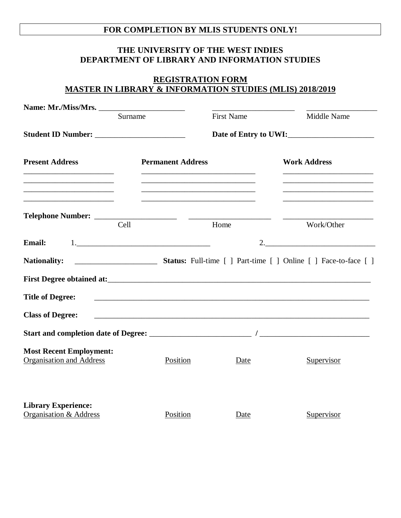## **FOR COMPLETION BY MLIS STUDENTS ONLY!**

## **THE UNIVERSITY OF THE WEST INDIES DEPARTMENT OF LIBRARY AND INFORMATION STUDIES**

## **REGISTRATION FORM MASTER IN LIBRARY & INFORMATION STUDIES (MLIS) 2018/2019**

| Surname                                                                                                            |                          | <b>First Name</b>                                                                                 | Middle Name                                                                                                          |
|--------------------------------------------------------------------------------------------------------------------|--------------------------|---------------------------------------------------------------------------------------------------|----------------------------------------------------------------------------------------------------------------------|
|                                                                                                                    |                          |                                                                                                   |                                                                                                                      |
| <b>Present Address</b>                                                                                             | <b>Permanent Address</b> |                                                                                                   | <b>Work Address</b>                                                                                                  |
| the control of the control of the control of the control of the control of<br>Telephone Number: __________<br>Cell |                          | the control of the control of the control of the control of the control of the control of<br>Home | the control of the control of the control of the control of the control of the control of<br>Work/Other              |
| <b>Email:</b>                                                                                                      |                          |                                                                                                   | 2.                                                                                                                   |
| <b>Nationality:</b>                                                                                                |                          |                                                                                                   |                                                                                                                      |
|                                                                                                                    |                          |                                                                                                   |                                                                                                                      |
| <b>Title of Degree:</b>                                                                                            |                          |                                                                                                   | <u> 1989 - Andrea Santa Andrea Santa Andrea Santa Andrea Santa Andrea Santa Andrea Santa Andrea Santa Andrea San</u> |
| <b>Class of Degree:</b>                                                                                            |                          |                                                                                                   |                                                                                                                      |
|                                                                                                                    |                          |                                                                                                   |                                                                                                                      |
| <b>Most Recent Employment:</b><br>Organisation and Address                                                         | Position                 | Date                                                                                              | Supervisor                                                                                                           |
| <b>Library Experience:</b><br><b>Organisation &amp; Address</b>                                                    | Position                 | Date                                                                                              | Supervisor                                                                                                           |